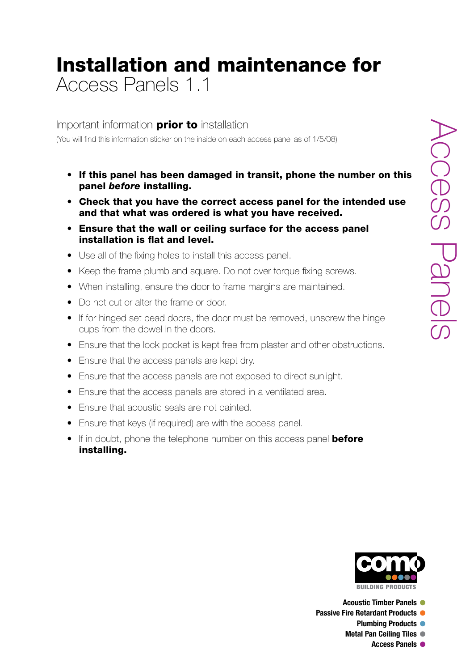### Installation and maintenance for Access Panels 1.1

Important information **prior to** installation

(You will find this information sticker on the inside on each access panel as of 1/5/08)

- If this panel has been damaged in transit, phone the number on this panel *before* installing.
- Check that you have the correct access panel for the intended use and that what was ordered is what you have received.
- Ensure that the wall or ceiling surface for the access panel installation is flat and level.
- Use all of the fixing holes to install this access panel.
- Keep the frame plumb and square. Do not over torque fixing screws.
- When installing, ensure the door to frame margins are maintained.
- Do not cut or alter the frame or door.
- If for hinged set bead doors, the door must be removed, unscrew the hinge cups from the dowel in the doors.
- Ensure that the lock pocket is kept free from plaster and other obstructions.
- Ensure that the access panels are kept dry.
- Ensure that the access panels are not exposed to direct sunlight.
- Ensure that the access panels are stored in a ventilated area.
- Ensure that acoustic seals are not painted.
- Ensure that keys (if required) are with the access panel.
- If in doubt, phone the telephone number on this access panel **before** installing.



**Acoustic Timber Panels** l

- **Passive Fire Retardant Products** 
	- **Plumbing Products**

**Metal Pan Ceiling Tiles •** 

**Access Panels** l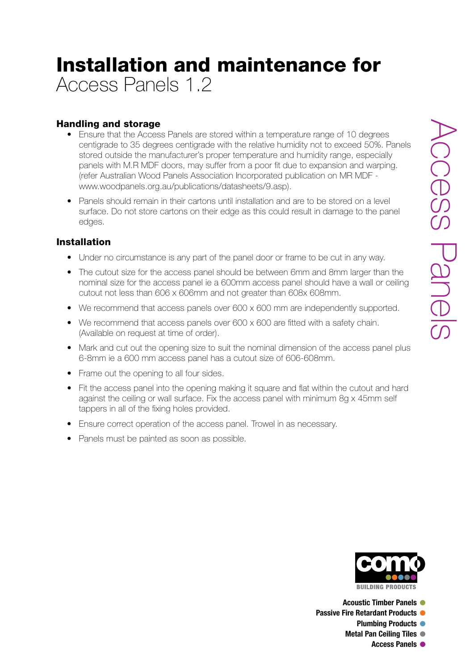# Installation and maintenance for Access Panels 1.2

### Handling and storage

- Ensure that the Access Panels are stored within a temperature range of 10 degrees centigrade to 35 degrees centigrade with the relative humidity not to exceed 50%. Panels stored outside the manufacturer's proper temperature and humidity range, especially panels with M.R MDF doors, may suffer from a poor fit due to expansion and warping. (refer Australian Wood Panels Association Incorporated publication on MR MDF - www.woodpanels.org.au/publications/datasheets/9.asp).
- Panels should remain in their cartons until installation and are to be stored on a level surface. Do not store cartons on their edge as this could result in damage to the panel edges.

#### Installation

- Under no circumstance is any part of the panel door or frame to be cut in any way.
- The cutout size for the access panel should be between 6mm and 8mm larger than the nominal size for the access panel ie a 600mm access panel should have a wall or ceiling cutout not less than 606 x 606mm and not greater than 608x 608mm.
- We recommend that access panels over 600 x 600 mm are independently supported.
- We recommend that access panels over  $600 \times 600$  are fitted with a safety chain. (Available on request at time of order).
- Mark and cut out the opening size to suit the nominal dimension of the access panel plus 6-8mm ie a 600 mm access panel has a cutout size of 606-608mm.
- Frame out the opening to all four sides.
- Fit the access panel into the opening making it square and flat within the cutout and hard against the ceiling or wall surface. Fix the access panel with minimum 8g x 45mm self tappers in all of the fixing holes provided.
- Ensure correct operation of the access panel. Trowel in as necessary.
- Panels must be painted as soon as possible.



**Acoustic Timber Panels** l

- **Passive Fire Retardant Products** 
	- **Plumbing Products**
	- **Metal Pan Ceiling Tiles**

**Access Panels** l